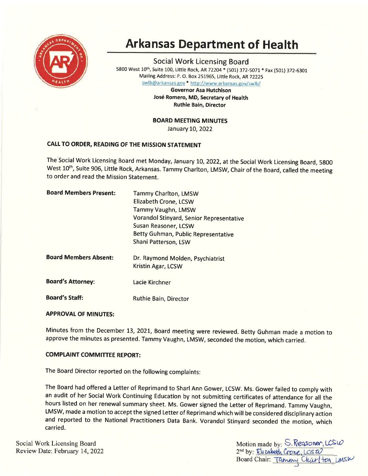

# Arkansas Department of Health

Social Work Licensing Board 5800 West 10<sup>th</sup>, Suite 100, Little Rock, AR 72204 \* (501) 372-5071 \* Fax (501) 372-6301 Mailing Address: P. O. Box 251965, Little Rock, AR72225

swlb@arkansas.gov \* http://www.arkansas.gov/swlb/

Governor Asa Hutchison José Romero, MD, Secretary of Health Ruthie Bain, Director

BOARD MEETING MINUTES

January 10, 2022

# CALL TO ORDER, READING OF THE MISSION STATEMENT

The Social Work Licensing Board met Monday, January 10, 2022, at the Social Work Licensing Board, 5800 West 10<sup>th</sup>, Suite 906, Little Rock, Arkansas. Tammy Charlton, LMSW, Chair of the Board, called the meeting to order and read the Mission Statement.

| <b>Board Members Present:</b> | Tammy Charlton, LMSW<br><b>Elizabeth Crone, LCSW</b><br>Tammy Vaughn, LMSW<br>Vorandol Stinyard, Senior Representative<br>Susan Reasoner, LCSW<br>Betty Guhman, Public Representative<br>Shani Patterson, LSW |
|-------------------------------|---------------------------------------------------------------------------------------------------------------------------------------------------------------------------------------------------------------|
| <b>Board Members Absent:</b>  | Dr. Raymond Molden, Psychiatrist<br>Kristin Agar, LCSW                                                                                                                                                        |
| <b>Board's Attorney:</b>      | Lacie Kirchner                                                                                                                                                                                                |
| <b>Board's Staff:</b>         | Ruthie Bain, Director                                                                                                                                                                                         |

## **APPROVAL OF MINUTES:**

Minutes from the December 13, 2021, Board meeting were reviewed. Betty Guhman made a motion to approve the minutes as presented. Tammy Vaughn, LMSW, seconded the motion, which carried.

## **COMPLAINT COMMITTEE REPORT:**

The Board Director reported on the following complaints:

The Board had offered a Letter of Reprimand to Sharl Ann Gower, LCSW. Ms. Gower failed to comply with an audit of her Social Work Continuing Education by not submitting certificates of attendance for all the hours listed on her renewal summary sheet. Ms. Gower signed the Letter of Reprimand. Tammy Vaughn, LMSW, made a motion to accept the signed Letter of Reprimand which will be considered disciplinary action and reported to the National Practitioners Data Bank. Vorandol Stinyard seconded the motion, which carried.

Social Work Licensing Board<br>
Review Date: February 14, 2022<br>  $2^{nd}$  by:  $\frac{C_1}{2^{nd}}$  by:  $\frac{C_1}{2^{nd}}$  and  $\frac{C_2}{2^{nd}}$  by:  $\frac{C_3}{2^{nd}}$  by:  $\frac{C_4}{2^{nd}}$  by:  $\frac{C_5}{2^{nd}}$ Review Date: February 14, 2022

Board Chair:  $Tannay$  Charlton,  $LmsW$ Motion made by:  $S$ . Reqsoner,  $LCSW$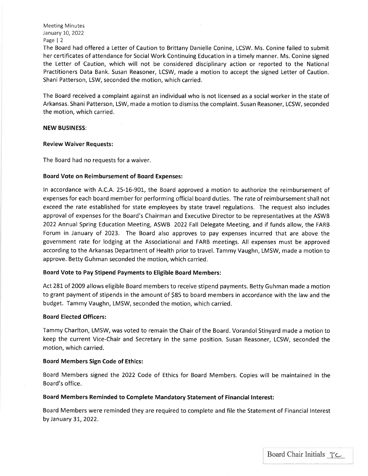Meeting Minutes January 10, 2022 Page | 2

The Board had offered a Letter of Caution to Brittany Danielle Conine, LCSW. Ms. Conine failed to submit her certificates of attendance for Social Work Continuing Education in a timely manner. Ms. Conine signed the Letter of Caution, which will not be considered disciplinary action or reported to the National Practitioners Data Bank. Susan Reasoner, LCSW, made a motion to accept the signed Letter of Caution, Shani Patterson, LSW, seconded the motion, which carried.

The Board received a complaint against an individual who is not licensed as a social worker in the state of Arkansas. Shani Patterson, LSW, made a motion to dismiss the complaint. Susan Reasoner, LCSW, seconded the motion, which carried.

#### NEW BUSINESS:

#### Review Waiver Requests:

The Board had no requests for a waiver.

## Board Vote on Reimbursement of Board Expenses:

ln accordance with A.C.A. 25-I6-9OL, the Board approved a motion to authorize the reimbursement of expenses for each board member for performing official board duties. The rate of reimbursement shall not exceed the rate established for state employees by state travel regulations. The request also includes approval of expenses for the Board's Chairman and Executive Director to be representatives at the ASWB 2022 Annual Spring Education Meeting, ASWB 2022 Fall Delegate Meeting, and if funds allow, the FARB Forum in January of 2023. The Board also approves to pay expenses incurred that are above the government rate for lodging at the Associational and FARB meetings. All expenses must be approved according to the Arkansas Department of Health prior to travel. Tammy Vaughn, LMSW, made a motion to approve. Betty Guhman seconded the motion, which carried.

## Board Vote to Pay Stipend Payments to Eligible Board Members:

Act 281 of 2009 allows eligible Board members to receive stipend payments. Betty Guhman made a motion to grant payment of stipends in the amount of S85 to board members in accordance with the law and the budget. Tammy Vaughn, LMSW, seconded the motion, which carried.

## Board Elected Officers:

Tammy Charlton, LMSW, was voted to remain the Chair of the Board. Vorandol Stinyard made a motion to keep the current Vice-Chair and Secretary in the same position. Susan Reasoner, LCSW, seconded the motion, which carried.

## Board Members Sign Code of Ethics:

Board Members signed the 2O22 Code of Ethics for Board Members. Copies will be maintained in the Board's office.

## Board Members Reminded to Complete Mandatory Statement of Financial lnterest:

Board Members were reminded they are required to complete and file the Statement of Financial lnterest by January 31,2022.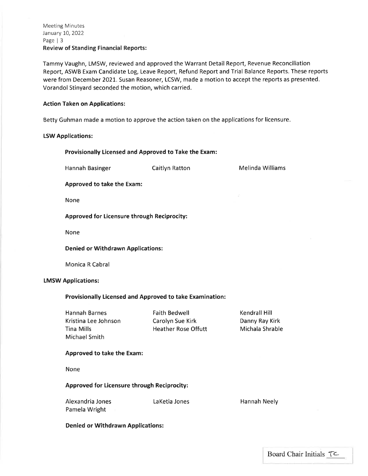Tammy Vaughn, LMSW, reviewed and approved the Warrant Detail Report, Revenue Reconciliation Report, ASWB Exam Candidate Log, Leave Report, Refund Report and Trial Balance Reports. These reports were from December 2021, Susan Reasoner, LCSW, made a motion to accept the reports as presented. Vorandol Stinyard seconded the motion, which carried.

## Action Taken on Applications:

Betty Guhman made a motion to approve the action taken on the applications for licensure.

## LSW Applications:

#### Provisionally Licensed and Approved to Take the Exam:

Hannah Basinger **Caitlyn Ratton** Melinda Williams

Approved to take the Exam:

None

Approved for Licensure through Reciprocity:

None

Denied or Withdrawn Applications:

Monica R Cabral

#### LMSW Applications:

#### Provisionally Licensed and Approved to take Examination:

Hannah Barnes Kristina Lee Johnson Tina Mills Michael Smith Faith Bedwell Carolyn Sue Kirk Heather Rose Offutt Kendrall Hill Danny Ray Kirk Michala Shrable Approved to take the Exam:

LaKetia Jones

None

## Approved for Licensure through Reciprocity:

Alexandria Jones Pamela Wright

Hannah Neely

Denied or Withdrawn Applications: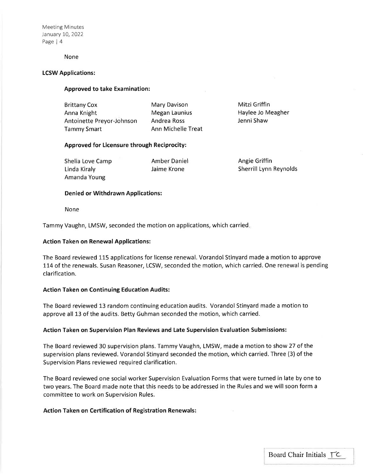Meeting Minutes January 10, 2022 Page | 4

#### None

## LCSW Applications:

#### Approved to take Examination:

Brittany Cox Anna Knight Antoinette Preyor-Johnson Tammy Smart

Mary Davison Megan Launius Andrea Ross Ann Michelle Treat

Mitzi Griffin Haylee Jo Meagher Jenni Shaw

## Approved for Licensure through Reciprocity:

Shelia Love Camp Linda Kiraly Amanda Young

Amber Daniel Jaime Krone

Angie Griffin Sherrill Lynn Reynolds

#### Denied or Withdrawn Applications:

None

Tammy Vaughn, LMSW, seconded the motion on applications, which carried

#### Action Taken on Renewal Applications:

The Board reviewed 115 applications for license renewal. Vorandol Stinyard made a motion to approve 114 of the renewals. Susan Reasoner, LCSW, seconded the motion, which carried. One renewal is pending clarification.

#### Action Taken on Continuing Education Audits:

The Board reviewed 13 random continuing education audits. Vorandol Stinyard made a motion to approve all 13 of the audits. Betty Guhman seconded the motion, which carried.

#### Action Taken on Supervision Plan Reviews and Late Supervision Evaluation Submissions:

The Board reviewed 30 supervision plans. Tammy Vaughn, LMSW, made a motion to show 27 of the supervision plans reviewed. Vorandol Stinyard seconded the motion, which carried. Three (3) of the Supervision Plans reviewed required clarification.

The Board reviewed one social worker Supervision Evaluation Forms that were turned in late by one to two years. The Board made note that this needs to be addressed in the Rules and we will soon form <sup>a</sup> committee to work on Supervision Rules.

#### Action Taken on Certification of Registration Renewals: